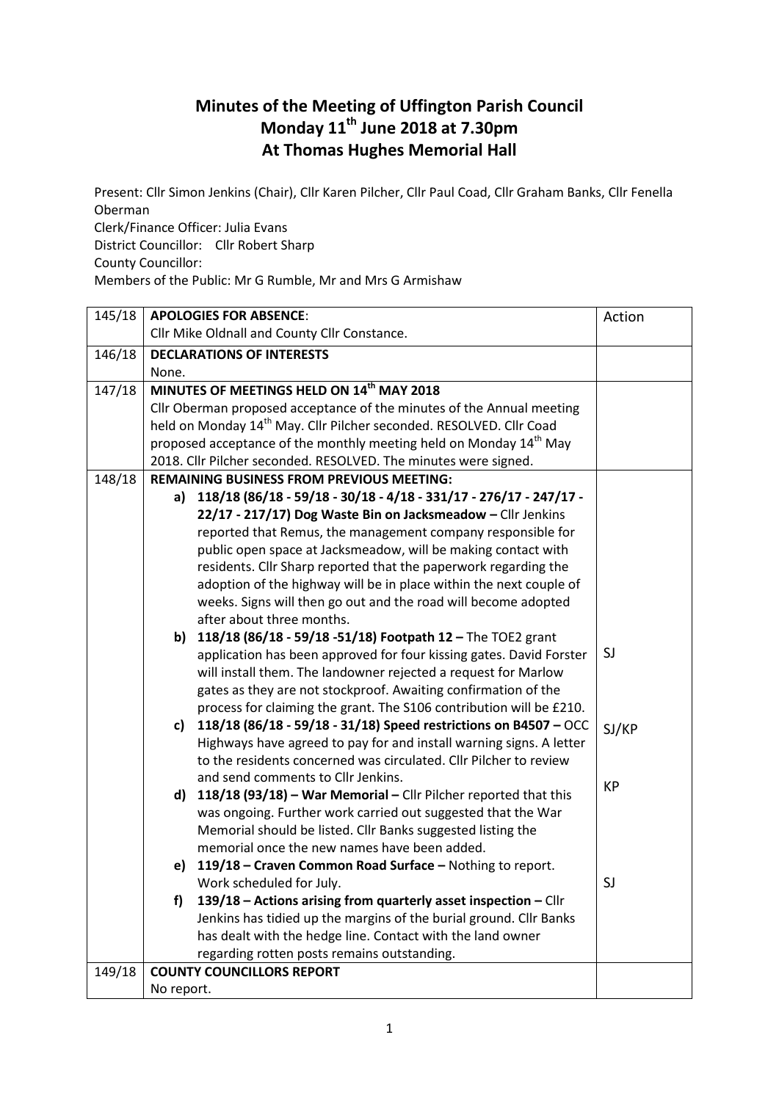## **Minutes of the Meeting of Uffington Parish Council Monday 11th June 2018 at 7.30pm At Thomas Hughes Memorial Hall**

Present: Cllr Simon Jenkins (Chair), Cllr Karen Pilcher, Cllr Paul Coad, Cllr Graham Banks, Cllr Fenella Oberman

Clerk/Finance Officer: Julia Evans District Councillor: Cllr Robert Sharp County Councillor: Members of the Public: Mr G Rumble, Mr and Mrs G Armishaw

| 145/18 |                                                                 | <b>APOLOGIES FOR ABSENCE:</b>                                                   | Action    |
|--------|-----------------------------------------------------------------|---------------------------------------------------------------------------------|-----------|
|        | Cllr Mike Oldnall and County Cllr Constance.                    |                                                                                 |           |
| 146/18 |                                                                 | <b>DECLARATIONS OF INTERESTS</b>                                                |           |
|        | None.                                                           |                                                                                 |           |
| 147/18 | MINUTES OF MEETINGS HELD ON 14 <sup>th</sup> MAY 2018           |                                                                                 |           |
|        |                                                                 | Cllr Oberman proposed acceptance of the minutes of the Annual meeting           |           |
|        |                                                                 | held on Monday 14 <sup>th</sup> May. Cllr Pilcher seconded. RESOLVED. Cllr Coad |           |
|        |                                                                 | proposed acceptance of the monthly meeting held on Monday 14 <sup>th</sup> May  |           |
|        | 2018. Cllr Pilcher seconded. RESOLVED. The minutes were signed. |                                                                                 |           |
| 148/18 |                                                                 | <b>REMAINING BUSINESS FROM PREVIOUS MEETING:</b>                                |           |
|        | a)                                                              | 118/18 (86/18 - 59/18 - 30/18 - 4/18 - 331/17 - 276/17 - 247/17 -               |           |
|        |                                                                 | 22/17 - 217/17) Dog Waste Bin on Jacksmeadow - Cllr Jenkins                     |           |
|        |                                                                 | reported that Remus, the management company responsible for                     |           |
|        |                                                                 | public open space at Jacksmeadow, will be making contact with                   |           |
|        |                                                                 | residents. Cllr Sharp reported that the paperwork regarding the                 |           |
|        |                                                                 | adoption of the highway will be in place within the next couple of              |           |
|        |                                                                 | weeks. Signs will then go out and the road will become adopted                  |           |
|        |                                                                 | after about three months.                                                       |           |
|        | b)                                                              | 118/18 (86/18 - 59/18 - 51/18) Footpath 12 - The TOE2 grant                     |           |
|        |                                                                 | application has been approved for four kissing gates. David Forster             | SJ        |
|        |                                                                 | will install them. The landowner rejected a request for Marlow                  |           |
|        |                                                                 | gates as they are not stockproof. Awaiting confirmation of the                  |           |
|        |                                                                 | process for claiming the grant. The S106 contribution will be £210.             |           |
|        | c)                                                              | 118/18 (86/18 - 59/18 - 31/18) Speed restrictions on B4507 - OCC                | SJ/KP     |
|        |                                                                 | Highways have agreed to pay for and install warning signs. A letter             |           |
|        |                                                                 | to the residents concerned was circulated. Cllr Pilcher to review               |           |
|        |                                                                 | and send comments to Cllr Jenkins.                                              | <b>KP</b> |
|        | d)                                                              | 118/18 (93/18) - War Memorial - Cllr Pilcher reported that this                 |           |
|        |                                                                 | was ongoing. Further work carried out suggested that the War                    |           |
|        |                                                                 | Memorial should be listed. Cllr Banks suggested listing the                     |           |
|        |                                                                 | memorial once the new names have been added.                                    |           |
|        | e)                                                              | 119/18 - Craven Common Road Surface - Nothing to report.                        |           |
|        |                                                                 | Work scheduled for July.                                                        | SJ        |
|        | f)                                                              | 139/18 - Actions arising from quarterly asset inspection - Cllr                 |           |
|        |                                                                 | Jenkins has tidied up the margins of the burial ground. Cllr Banks              |           |
|        |                                                                 | has dealt with the hedge line. Contact with the land owner                      |           |
|        | regarding rotten posts remains outstanding.                     |                                                                                 |           |
| 149/18 | <b>COUNTY COUNCILLORS REPORT</b>                                |                                                                                 |           |
|        | No report.                                                      |                                                                                 |           |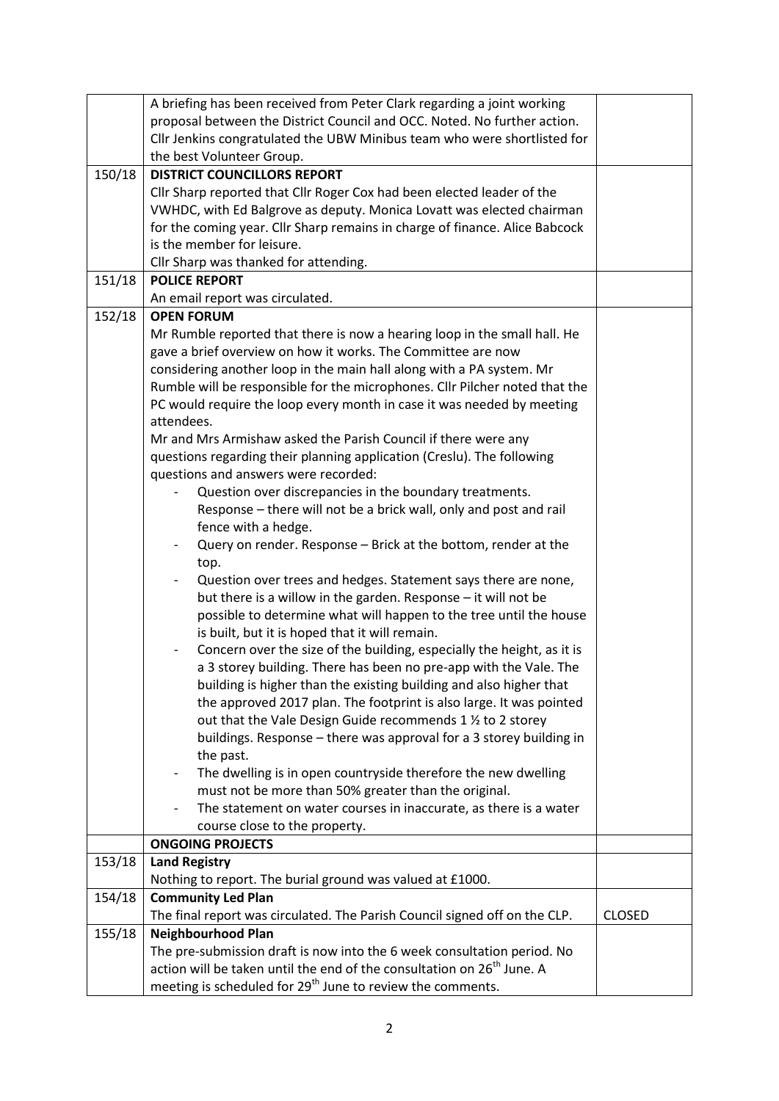|        | A briefing has been received from Peter Clark regarding a joint working            |               |
|--------|------------------------------------------------------------------------------------|---------------|
|        | proposal between the District Council and OCC. Noted. No further action.           |               |
|        | Cllr Jenkins congratulated the UBW Minibus team who were shortlisted for           |               |
|        | the best Volunteer Group.                                                          |               |
| 150/18 | <b>DISTRICT COUNCILLORS REPORT</b>                                                 |               |
|        | Cllr Sharp reported that Cllr Roger Cox had been elected leader of the             |               |
|        | VWHDC, with Ed Balgrove as deputy. Monica Lovatt was elected chairman              |               |
|        | for the coming year. Cllr Sharp remains in charge of finance. Alice Babcock        |               |
|        | is the member for leisure.                                                         |               |
|        | Cllr Sharp was thanked for attending.                                              |               |
| 151/18 | <b>POLICE REPORT</b>                                                               |               |
|        | An email report was circulated.                                                    |               |
| 152/18 | <b>OPEN FORUM</b>                                                                  |               |
|        | Mr Rumble reported that there is now a hearing loop in the small hall. He          |               |
|        | gave a brief overview on how it works. The Committee are now                       |               |
|        | considering another loop in the main hall along with a PA system. Mr               |               |
|        | Rumble will be responsible for the microphones. Cllr Pilcher noted that the        |               |
|        | PC would require the loop every month in case it was needed by meeting             |               |
|        | attendees.                                                                         |               |
|        | Mr and Mrs Armishaw asked the Parish Council if there were any                     |               |
|        | questions regarding their planning application (Creslu). The following             |               |
|        | questions and answers were recorded:                                               |               |
|        | Question over discrepancies in the boundary treatments.                            |               |
|        | Response - there will not be a brick wall, only and post and rail                  |               |
|        | fence with a hedge.                                                                |               |
|        | Query on render. Response - Brick at the bottom, render at the                     |               |
|        | top.                                                                               |               |
|        | Question over trees and hedges. Statement says there are none,                     |               |
|        | but there is a willow in the garden. Response - it will not be                     |               |
|        | possible to determine what will happen to the tree until the house                 |               |
|        | is built, but it is hoped that it will remain.                                     |               |
|        | Concern over the size of the building, especially the height, as it is             |               |
|        | a 3 storey building. There has been no pre-app with the Vale. The                  |               |
|        | building is higher than the existing building and also higher that                 |               |
|        | the approved 2017 plan. The footprint is also large. It was pointed                |               |
|        | out that the Vale Design Guide recommends 1 1/2 to 2 storey                        |               |
|        | buildings. Response - there was approval for a 3 storey building in                |               |
|        | the past.                                                                          |               |
|        | The dwelling is in open countryside therefore the new dwelling                     |               |
|        | must not be more than 50% greater than the original.                               |               |
|        | The statement on water courses in inaccurate, as there is a water                  |               |
|        | course close to the property.                                                      |               |
|        | <b>ONGOING PROJECTS</b>                                                            |               |
| 153/18 | <b>Land Registry</b>                                                               |               |
|        | Nothing to report. The burial ground was valued at £1000.                          |               |
| 154/18 | <b>Community Led Plan</b>                                                          |               |
|        | The final report was circulated. The Parish Council signed off on the CLP.         | <b>CLOSED</b> |
| 155/18 | <b>Neighbourhood Plan</b>                                                          |               |
|        | The pre-submission draft is now into the 6 week consultation period. No            |               |
|        | action will be taken until the end of the consultation on 26 <sup>th</sup> June. A |               |
|        | meeting is scheduled for 29 <sup>th</sup> June to review the comments.             |               |
|        |                                                                                    |               |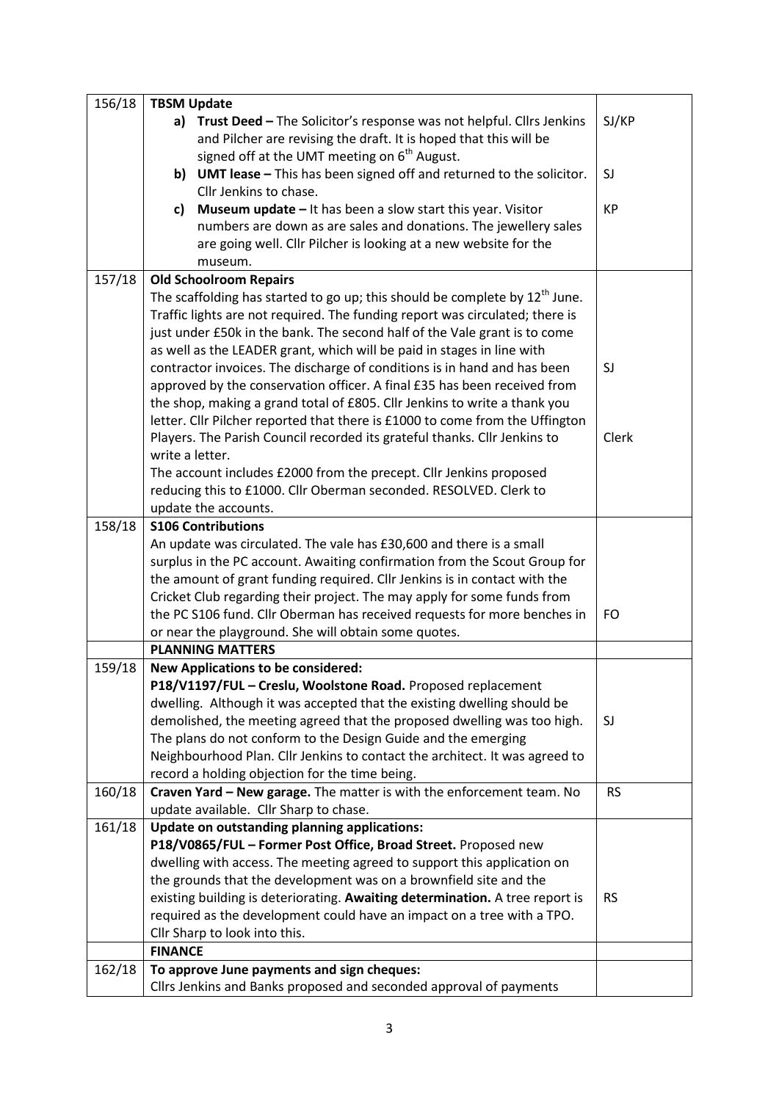| SJ/KP<br>a) Trust Deed - The Solicitor's response was not helpful. Cllrs Jenkins<br>and Pilcher are revising the draft. It is hoped that this will be<br>signed off at the UMT meeting on 6 <sup>th</sup> August.<br>b) UMT lease - This has been signed off and returned to the solicitor.<br>SJ<br>Cllr Jenkins to chase.<br><b>Museum update - It has been a slow start this year. Visitor</b><br><b>KP</b><br>c)<br>numbers are down as are sales and donations. The jewellery sales<br>are going well. Cllr Pilcher is looking at a new website for the<br>museum.<br>157/18<br><b>Old Schoolroom Repairs</b><br>The scaffolding has started to go up; this should be complete by $12th$ June.<br>Traffic lights are not required. The funding report was circulated; there is<br>just under £50k in the bank. The second half of the Vale grant is to come<br>as well as the LEADER grant, which will be paid in stages in line with<br>contractor invoices. The discharge of conditions is in hand and has been<br>SJ<br>approved by the conservation officer. A final £35 has been received from<br>the shop, making a grand total of £805. Cllr Jenkins to write a thank you<br>letter. Cllr Pilcher reported that there is £1000 to come from the Uffington<br>Players. The Parish Council recorded its grateful thanks. Cllr Jenkins to<br>Clerk<br>write a letter.<br>The account includes £2000 from the precept. Cllr Jenkins proposed<br>reducing this to £1000. Cllr Oberman seconded. RESOLVED. Clerk to<br>update the accounts.<br>158/18<br><b>S106 Contributions</b><br>An update was circulated. The vale has £30,600 and there is a small<br>surplus in the PC account. Awaiting confirmation from the Scout Group for<br>the amount of grant funding required. Cllr Jenkins is in contact with the<br>Cricket Club regarding their project. The may apply for some funds from<br>the PC S106 fund. Cllr Oberman has received requests for more benches in<br>FO<br>or near the playground. She will obtain some quotes.<br><b>PLANNING MATTERS</b><br>159/18<br><b>New Applications to be considered:</b><br>P18/V1197/FUL - Creslu, Woolstone Road. Proposed replacement<br>dwelling. Although it was accepted that the existing dwelling should be<br>demolished, the meeting agreed that the proposed dwelling was too high.<br>SJ<br>The plans do not conform to the Design Guide and the emerging<br>Neighbourhood Plan. Cllr Jenkins to contact the architect. It was agreed to<br>record a holding objection for the time being.<br>Craven Yard - New garage. The matter is with the enforcement team. No<br>160/18<br><b>RS</b><br>update available. Cllr Sharp to chase.<br>161/18<br>Update on outstanding planning applications:<br>P18/V0865/FUL - Former Post Office, Broad Street. Proposed new<br>dwelling with access. The meeting agreed to support this application on<br>the grounds that the development was on a brownfield site and the<br>existing building is deteriorating. Awaiting determination. A tree report is<br><b>RS</b><br>required as the development could have an impact on a tree with a TPO.<br>Cllr Sharp to look into this.<br><b>FINANCE</b><br>162/18<br>To approve June payments and sign cheques:<br>Cllrs Jenkins and Banks proposed and seconded approval of payments | 156/18 | <b>TBSM Update</b> |  |  |  |
|----------------------------------------------------------------------------------------------------------------------------------------------------------------------------------------------------------------------------------------------------------------------------------------------------------------------------------------------------------------------------------------------------------------------------------------------------------------------------------------------------------------------------------------------------------------------------------------------------------------------------------------------------------------------------------------------------------------------------------------------------------------------------------------------------------------------------------------------------------------------------------------------------------------------------------------------------------------------------------------------------------------------------------------------------------------------------------------------------------------------------------------------------------------------------------------------------------------------------------------------------------------------------------------------------------------------------------------------------------------------------------------------------------------------------------------------------------------------------------------------------------------------------------------------------------------------------------------------------------------------------------------------------------------------------------------------------------------------------------------------------------------------------------------------------------------------------------------------------------------------------------------------------------------------------------------------------------------------------------------------------------------------------------------------------------------------------------------------------------------------------------------------------------------------------------------------------------------------------------------------------------------------------------------------------------------------------------------------------------------------------------------------------------------------------------------------------------------------------------------------------------------------------------------------------------------------------------------------------------------------------------------------------------------------------------------------------------------------------------------------------------------------------------------------------------------------------------------------------------------------------------------------------------------------------------------------------------------------------------------------------------------------------------------------------------------------------------------------------------------------------------------------------------------------------------------------------------------------------------------------------------------------------------------------------------------------------------------------|--------|--------------------|--|--|--|
|                                                                                                                                                                                                                                                                                                                                                                                                                                                                                                                                                                                                                                                                                                                                                                                                                                                                                                                                                                                                                                                                                                                                                                                                                                                                                                                                                                                                                                                                                                                                                                                                                                                                                                                                                                                                                                                                                                                                                                                                                                                                                                                                                                                                                                                                                                                                                                                                                                                                                                                                                                                                                                                                                                                                                                                                                                                                                                                                                                                                                                                                                                                                                                                                                                                                                                                                              |        |                    |  |  |  |
|                                                                                                                                                                                                                                                                                                                                                                                                                                                                                                                                                                                                                                                                                                                                                                                                                                                                                                                                                                                                                                                                                                                                                                                                                                                                                                                                                                                                                                                                                                                                                                                                                                                                                                                                                                                                                                                                                                                                                                                                                                                                                                                                                                                                                                                                                                                                                                                                                                                                                                                                                                                                                                                                                                                                                                                                                                                                                                                                                                                                                                                                                                                                                                                                                                                                                                                                              |        |                    |  |  |  |
|                                                                                                                                                                                                                                                                                                                                                                                                                                                                                                                                                                                                                                                                                                                                                                                                                                                                                                                                                                                                                                                                                                                                                                                                                                                                                                                                                                                                                                                                                                                                                                                                                                                                                                                                                                                                                                                                                                                                                                                                                                                                                                                                                                                                                                                                                                                                                                                                                                                                                                                                                                                                                                                                                                                                                                                                                                                                                                                                                                                                                                                                                                                                                                                                                                                                                                                                              |        |                    |  |  |  |
|                                                                                                                                                                                                                                                                                                                                                                                                                                                                                                                                                                                                                                                                                                                                                                                                                                                                                                                                                                                                                                                                                                                                                                                                                                                                                                                                                                                                                                                                                                                                                                                                                                                                                                                                                                                                                                                                                                                                                                                                                                                                                                                                                                                                                                                                                                                                                                                                                                                                                                                                                                                                                                                                                                                                                                                                                                                                                                                                                                                                                                                                                                                                                                                                                                                                                                                                              |        |                    |  |  |  |
|                                                                                                                                                                                                                                                                                                                                                                                                                                                                                                                                                                                                                                                                                                                                                                                                                                                                                                                                                                                                                                                                                                                                                                                                                                                                                                                                                                                                                                                                                                                                                                                                                                                                                                                                                                                                                                                                                                                                                                                                                                                                                                                                                                                                                                                                                                                                                                                                                                                                                                                                                                                                                                                                                                                                                                                                                                                                                                                                                                                                                                                                                                                                                                                                                                                                                                                                              |        |                    |  |  |  |
|                                                                                                                                                                                                                                                                                                                                                                                                                                                                                                                                                                                                                                                                                                                                                                                                                                                                                                                                                                                                                                                                                                                                                                                                                                                                                                                                                                                                                                                                                                                                                                                                                                                                                                                                                                                                                                                                                                                                                                                                                                                                                                                                                                                                                                                                                                                                                                                                                                                                                                                                                                                                                                                                                                                                                                                                                                                                                                                                                                                                                                                                                                                                                                                                                                                                                                                                              |        |                    |  |  |  |
|                                                                                                                                                                                                                                                                                                                                                                                                                                                                                                                                                                                                                                                                                                                                                                                                                                                                                                                                                                                                                                                                                                                                                                                                                                                                                                                                                                                                                                                                                                                                                                                                                                                                                                                                                                                                                                                                                                                                                                                                                                                                                                                                                                                                                                                                                                                                                                                                                                                                                                                                                                                                                                                                                                                                                                                                                                                                                                                                                                                                                                                                                                                                                                                                                                                                                                                                              |        |                    |  |  |  |
|                                                                                                                                                                                                                                                                                                                                                                                                                                                                                                                                                                                                                                                                                                                                                                                                                                                                                                                                                                                                                                                                                                                                                                                                                                                                                                                                                                                                                                                                                                                                                                                                                                                                                                                                                                                                                                                                                                                                                                                                                                                                                                                                                                                                                                                                                                                                                                                                                                                                                                                                                                                                                                                                                                                                                                                                                                                                                                                                                                                                                                                                                                                                                                                                                                                                                                                                              |        |                    |  |  |  |
|                                                                                                                                                                                                                                                                                                                                                                                                                                                                                                                                                                                                                                                                                                                                                                                                                                                                                                                                                                                                                                                                                                                                                                                                                                                                                                                                                                                                                                                                                                                                                                                                                                                                                                                                                                                                                                                                                                                                                                                                                                                                                                                                                                                                                                                                                                                                                                                                                                                                                                                                                                                                                                                                                                                                                                                                                                                                                                                                                                                                                                                                                                                                                                                                                                                                                                                                              |        |                    |  |  |  |
|                                                                                                                                                                                                                                                                                                                                                                                                                                                                                                                                                                                                                                                                                                                                                                                                                                                                                                                                                                                                                                                                                                                                                                                                                                                                                                                                                                                                                                                                                                                                                                                                                                                                                                                                                                                                                                                                                                                                                                                                                                                                                                                                                                                                                                                                                                                                                                                                                                                                                                                                                                                                                                                                                                                                                                                                                                                                                                                                                                                                                                                                                                                                                                                                                                                                                                                                              |        |                    |  |  |  |
|                                                                                                                                                                                                                                                                                                                                                                                                                                                                                                                                                                                                                                                                                                                                                                                                                                                                                                                                                                                                                                                                                                                                                                                                                                                                                                                                                                                                                                                                                                                                                                                                                                                                                                                                                                                                                                                                                                                                                                                                                                                                                                                                                                                                                                                                                                                                                                                                                                                                                                                                                                                                                                                                                                                                                                                                                                                                                                                                                                                                                                                                                                                                                                                                                                                                                                                                              |        |                    |  |  |  |
|                                                                                                                                                                                                                                                                                                                                                                                                                                                                                                                                                                                                                                                                                                                                                                                                                                                                                                                                                                                                                                                                                                                                                                                                                                                                                                                                                                                                                                                                                                                                                                                                                                                                                                                                                                                                                                                                                                                                                                                                                                                                                                                                                                                                                                                                                                                                                                                                                                                                                                                                                                                                                                                                                                                                                                                                                                                                                                                                                                                                                                                                                                                                                                                                                                                                                                                                              |        |                    |  |  |  |
|                                                                                                                                                                                                                                                                                                                                                                                                                                                                                                                                                                                                                                                                                                                                                                                                                                                                                                                                                                                                                                                                                                                                                                                                                                                                                                                                                                                                                                                                                                                                                                                                                                                                                                                                                                                                                                                                                                                                                                                                                                                                                                                                                                                                                                                                                                                                                                                                                                                                                                                                                                                                                                                                                                                                                                                                                                                                                                                                                                                                                                                                                                                                                                                                                                                                                                                                              |        |                    |  |  |  |
|                                                                                                                                                                                                                                                                                                                                                                                                                                                                                                                                                                                                                                                                                                                                                                                                                                                                                                                                                                                                                                                                                                                                                                                                                                                                                                                                                                                                                                                                                                                                                                                                                                                                                                                                                                                                                                                                                                                                                                                                                                                                                                                                                                                                                                                                                                                                                                                                                                                                                                                                                                                                                                                                                                                                                                                                                                                                                                                                                                                                                                                                                                                                                                                                                                                                                                                                              |        |                    |  |  |  |
|                                                                                                                                                                                                                                                                                                                                                                                                                                                                                                                                                                                                                                                                                                                                                                                                                                                                                                                                                                                                                                                                                                                                                                                                                                                                                                                                                                                                                                                                                                                                                                                                                                                                                                                                                                                                                                                                                                                                                                                                                                                                                                                                                                                                                                                                                                                                                                                                                                                                                                                                                                                                                                                                                                                                                                                                                                                                                                                                                                                                                                                                                                                                                                                                                                                                                                                                              |        |                    |  |  |  |
|                                                                                                                                                                                                                                                                                                                                                                                                                                                                                                                                                                                                                                                                                                                                                                                                                                                                                                                                                                                                                                                                                                                                                                                                                                                                                                                                                                                                                                                                                                                                                                                                                                                                                                                                                                                                                                                                                                                                                                                                                                                                                                                                                                                                                                                                                                                                                                                                                                                                                                                                                                                                                                                                                                                                                                                                                                                                                                                                                                                                                                                                                                                                                                                                                                                                                                                                              |        |                    |  |  |  |
|                                                                                                                                                                                                                                                                                                                                                                                                                                                                                                                                                                                                                                                                                                                                                                                                                                                                                                                                                                                                                                                                                                                                                                                                                                                                                                                                                                                                                                                                                                                                                                                                                                                                                                                                                                                                                                                                                                                                                                                                                                                                                                                                                                                                                                                                                                                                                                                                                                                                                                                                                                                                                                                                                                                                                                                                                                                                                                                                                                                                                                                                                                                                                                                                                                                                                                                                              |        |                    |  |  |  |
|                                                                                                                                                                                                                                                                                                                                                                                                                                                                                                                                                                                                                                                                                                                                                                                                                                                                                                                                                                                                                                                                                                                                                                                                                                                                                                                                                                                                                                                                                                                                                                                                                                                                                                                                                                                                                                                                                                                                                                                                                                                                                                                                                                                                                                                                                                                                                                                                                                                                                                                                                                                                                                                                                                                                                                                                                                                                                                                                                                                                                                                                                                                                                                                                                                                                                                                                              |        |                    |  |  |  |
|                                                                                                                                                                                                                                                                                                                                                                                                                                                                                                                                                                                                                                                                                                                                                                                                                                                                                                                                                                                                                                                                                                                                                                                                                                                                                                                                                                                                                                                                                                                                                                                                                                                                                                                                                                                                                                                                                                                                                                                                                                                                                                                                                                                                                                                                                                                                                                                                                                                                                                                                                                                                                                                                                                                                                                                                                                                                                                                                                                                                                                                                                                                                                                                                                                                                                                                                              |        |                    |  |  |  |
|                                                                                                                                                                                                                                                                                                                                                                                                                                                                                                                                                                                                                                                                                                                                                                                                                                                                                                                                                                                                                                                                                                                                                                                                                                                                                                                                                                                                                                                                                                                                                                                                                                                                                                                                                                                                                                                                                                                                                                                                                                                                                                                                                                                                                                                                                                                                                                                                                                                                                                                                                                                                                                                                                                                                                                                                                                                                                                                                                                                                                                                                                                                                                                                                                                                                                                                                              |        |                    |  |  |  |
|                                                                                                                                                                                                                                                                                                                                                                                                                                                                                                                                                                                                                                                                                                                                                                                                                                                                                                                                                                                                                                                                                                                                                                                                                                                                                                                                                                                                                                                                                                                                                                                                                                                                                                                                                                                                                                                                                                                                                                                                                                                                                                                                                                                                                                                                                                                                                                                                                                                                                                                                                                                                                                                                                                                                                                                                                                                                                                                                                                                                                                                                                                                                                                                                                                                                                                                                              |        |                    |  |  |  |
|                                                                                                                                                                                                                                                                                                                                                                                                                                                                                                                                                                                                                                                                                                                                                                                                                                                                                                                                                                                                                                                                                                                                                                                                                                                                                                                                                                                                                                                                                                                                                                                                                                                                                                                                                                                                                                                                                                                                                                                                                                                                                                                                                                                                                                                                                                                                                                                                                                                                                                                                                                                                                                                                                                                                                                                                                                                                                                                                                                                                                                                                                                                                                                                                                                                                                                                                              |        |                    |  |  |  |
|                                                                                                                                                                                                                                                                                                                                                                                                                                                                                                                                                                                                                                                                                                                                                                                                                                                                                                                                                                                                                                                                                                                                                                                                                                                                                                                                                                                                                                                                                                                                                                                                                                                                                                                                                                                                                                                                                                                                                                                                                                                                                                                                                                                                                                                                                                                                                                                                                                                                                                                                                                                                                                                                                                                                                                                                                                                                                                                                                                                                                                                                                                                                                                                                                                                                                                                                              |        |                    |  |  |  |
|                                                                                                                                                                                                                                                                                                                                                                                                                                                                                                                                                                                                                                                                                                                                                                                                                                                                                                                                                                                                                                                                                                                                                                                                                                                                                                                                                                                                                                                                                                                                                                                                                                                                                                                                                                                                                                                                                                                                                                                                                                                                                                                                                                                                                                                                                                                                                                                                                                                                                                                                                                                                                                                                                                                                                                                                                                                                                                                                                                                                                                                                                                                                                                                                                                                                                                                                              |        |                    |  |  |  |
|                                                                                                                                                                                                                                                                                                                                                                                                                                                                                                                                                                                                                                                                                                                                                                                                                                                                                                                                                                                                                                                                                                                                                                                                                                                                                                                                                                                                                                                                                                                                                                                                                                                                                                                                                                                                                                                                                                                                                                                                                                                                                                                                                                                                                                                                                                                                                                                                                                                                                                                                                                                                                                                                                                                                                                                                                                                                                                                                                                                                                                                                                                                                                                                                                                                                                                                                              |        |                    |  |  |  |
|                                                                                                                                                                                                                                                                                                                                                                                                                                                                                                                                                                                                                                                                                                                                                                                                                                                                                                                                                                                                                                                                                                                                                                                                                                                                                                                                                                                                                                                                                                                                                                                                                                                                                                                                                                                                                                                                                                                                                                                                                                                                                                                                                                                                                                                                                                                                                                                                                                                                                                                                                                                                                                                                                                                                                                                                                                                                                                                                                                                                                                                                                                                                                                                                                                                                                                                                              |        |                    |  |  |  |
|                                                                                                                                                                                                                                                                                                                                                                                                                                                                                                                                                                                                                                                                                                                                                                                                                                                                                                                                                                                                                                                                                                                                                                                                                                                                                                                                                                                                                                                                                                                                                                                                                                                                                                                                                                                                                                                                                                                                                                                                                                                                                                                                                                                                                                                                                                                                                                                                                                                                                                                                                                                                                                                                                                                                                                                                                                                                                                                                                                                                                                                                                                                                                                                                                                                                                                                                              |        |                    |  |  |  |
|                                                                                                                                                                                                                                                                                                                                                                                                                                                                                                                                                                                                                                                                                                                                                                                                                                                                                                                                                                                                                                                                                                                                                                                                                                                                                                                                                                                                                                                                                                                                                                                                                                                                                                                                                                                                                                                                                                                                                                                                                                                                                                                                                                                                                                                                                                                                                                                                                                                                                                                                                                                                                                                                                                                                                                                                                                                                                                                                                                                                                                                                                                                                                                                                                                                                                                                                              |        |                    |  |  |  |
|                                                                                                                                                                                                                                                                                                                                                                                                                                                                                                                                                                                                                                                                                                                                                                                                                                                                                                                                                                                                                                                                                                                                                                                                                                                                                                                                                                                                                                                                                                                                                                                                                                                                                                                                                                                                                                                                                                                                                                                                                                                                                                                                                                                                                                                                                                                                                                                                                                                                                                                                                                                                                                                                                                                                                                                                                                                                                                                                                                                                                                                                                                                                                                                                                                                                                                                                              |        |                    |  |  |  |
|                                                                                                                                                                                                                                                                                                                                                                                                                                                                                                                                                                                                                                                                                                                                                                                                                                                                                                                                                                                                                                                                                                                                                                                                                                                                                                                                                                                                                                                                                                                                                                                                                                                                                                                                                                                                                                                                                                                                                                                                                                                                                                                                                                                                                                                                                                                                                                                                                                                                                                                                                                                                                                                                                                                                                                                                                                                                                                                                                                                                                                                                                                                                                                                                                                                                                                                                              |        |                    |  |  |  |
|                                                                                                                                                                                                                                                                                                                                                                                                                                                                                                                                                                                                                                                                                                                                                                                                                                                                                                                                                                                                                                                                                                                                                                                                                                                                                                                                                                                                                                                                                                                                                                                                                                                                                                                                                                                                                                                                                                                                                                                                                                                                                                                                                                                                                                                                                                                                                                                                                                                                                                                                                                                                                                                                                                                                                                                                                                                                                                                                                                                                                                                                                                                                                                                                                                                                                                                                              |        |                    |  |  |  |
|                                                                                                                                                                                                                                                                                                                                                                                                                                                                                                                                                                                                                                                                                                                                                                                                                                                                                                                                                                                                                                                                                                                                                                                                                                                                                                                                                                                                                                                                                                                                                                                                                                                                                                                                                                                                                                                                                                                                                                                                                                                                                                                                                                                                                                                                                                                                                                                                                                                                                                                                                                                                                                                                                                                                                                                                                                                                                                                                                                                                                                                                                                                                                                                                                                                                                                                                              |        |                    |  |  |  |
|                                                                                                                                                                                                                                                                                                                                                                                                                                                                                                                                                                                                                                                                                                                                                                                                                                                                                                                                                                                                                                                                                                                                                                                                                                                                                                                                                                                                                                                                                                                                                                                                                                                                                                                                                                                                                                                                                                                                                                                                                                                                                                                                                                                                                                                                                                                                                                                                                                                                                                                                                                                                                                                                                                                                                                                                                                                                                                                                                                                                                                                                                                                                                                                                                                                                                                                                              |        |                    |  |  |  |
|                                                                                                                                                                                                                                                                                                                                                                                                                                                                                                                                                                                                                                                                                                                                                                                                                                                                                                                                                                                                                                                                                                                                                                                                                                                                                                                                                                                                                                                                                                                                                                                                                                                                                                                                                                                                                                                                                                                                                                                                                                                                                                                                                                                                                                                                                                                                                                                                                                                                                                                                                                                                                                                                                                                                                                                                                                                                                                                                                                                                                                                                                                                                                                                                                                                                                                                                              |        |                    |  |  |  |
|                                                                                                                                                                                                                                                                                                                                                                                                                                                                                                                                                                                                                                                                                                                                                                                                                                                                                                                                                                                                                                                                                                                                                                                                                                                                                                                                                                                                                                                                                                                                                                                                                                                                                                                                                                                                                                                                                                                                                                                                                                                                                                                                                                                                                                                                                                                                                                                                                                                                                                                                                                                                                                                                                                                                                                                                                                                                                                                                                                                                                                                                                                                                                                                                                                                                                                                                              |        |                    |  |  |  |
|                                                                                                                                                                                                                                                                                                                                                                                                                                                                                                                                                                                                                                                                                                                                                                                                                                                                                                                                                                                                                                                                                                                                                                                                                                                                                                                                                                                                                                                                                                                                                                                                                                                                                                                                                                                                                                                                                                                                                                                                                                                                                                                                                                                                                                                                                                                                                                                                                                                                                                                                                                                                                                                                                                                                                                                                                                                                                                                                                                                                                                                                                                                                                                                                                                                                                                                                              |        |                    |  |  |  |
|                                                                                                                                                                                                                                                                                                                                                                                                                                                                                                                                                                                                                                                                                                                                                                                                                                                                                                                                                                                                                                                                                                                                                                                                                                                                                                                                                                                                                                                                                                                                                                                                                                                                                                                                                                                                                                                                                                                                                                                                                                                                                                                                                                                                                                                                                                                                                                                                                                                                                                                                                                                                                                                                                                                                                                                                                                                                                                                                                                                                                                                                                                                                                                                                                                                                                                                                              |        |                    |  |  |  |
|                                                                                                                                                                                                                                                                                                                                                                                                                                                                                                                                                                                                                                                                                                                                                                                                                                                                                                                                                                                                                                                                                                                                                                                                                                                                                                                                                                                                                                                                                                                                                                                                                                                                                                                                                                                                                                                                                                                                                                                                                                                                                                                                                                                                                                                                                                                                                                                                                                                                                                                                                                                                                                                                                                                                                                                                                                                                                                                                                                                                                                                                                                                                                                                                                                                                                                                                              |        |                    |  |  |  |
|                                                                                                                                                                                                                                                                                                                                                                                                                                                                                                                                                                                                                                                                                                                                                                                                                                                                                                                                                                                                                                                                                                                                                                                                                                                                                                                                                                                                                                                                                                                                                                                                                                                                                                                                                                                                                                                                                                                                                                                                                                                                                                                                                                                                                                                                                                                                                                                                                                                                                                                                                                                                                                                                                                                                                                                                                                                                                                                                                                                                                                                                                                                                                                                                                                                                                                                                              |        |                    |  |  |  |
|                                                                                                                                                                                                                                                                                                                                                                                                                                                                                                                                                                                                                                                                                                                                                                                                                                                                                                                                                                                                                                                                                                                                                                                                                                                                                                                                                                                                                                                                                                                                                                                                                                                                                                                                                                                                                                                                                                                                                                                                                                                                                                                                                                                                                                                                                                                                                                                                                                                                                                                                                                                                                                                                                                                                                                                                                                                                                                                                                                                                                                                                                                                                                                                                                                                                                                                                              |        |                    |  |  |  |
|                                                                                                                                                                                                                                                                                                                                                                                                                                                                                                                                                                                                                                                                                                                                                                                                                                                                                                                                                                                                                                                                                                                                                                                                                                                                                                                                                                                                                                                                                                                                                                                                                                                                                                                                                                                                                                                                                                                                                                                                                                                                                                                                                                                                                                                                                                                                                                                                                                                                                                                                                                                                                                                                                                                                                                                                                                                                                                                                                                                                                                                                                                                                                                                                                                                                                                                                              |        |                    |  |  |  |
|                                                                                                                                                                                                                                                                                                                                                                                                                                                                                                                                                                                                                                                                                                                                                                                                                                                                                                                                                                                                                                                                                                                                                                                                                                                                                                                                                                                                                                                                                                                                                                                                                                                                                                                                                                                                                                                                                                                                                                                                                                                                                                                                                                                                                                                                                                                                                                                                                                                                                                                                                                                                                                                                                                                                                                                                                                                                                                                                                                                                                                                                                                                                                                                                                                                                                                                                              |        |                    |  |  |  |
|                                                                                                                                                                                                                                                                                                                                                                                                                                                                                                                                                                                                                                                                                                                                                                                                                                                                                                                                                                                                                                                                                                                                                                                                                                                                                                                                                                                                                                                                                                                                                                                                                                                                                                                                                                                                                                                                                                                                                                                                                                                                                                                                                                                                                                                                                                                                                                                                                                                                                                                                                                                                                                                                                                                                                                                                                                                                                                                                                                                                                                                                                                                                                                                                                                                                                                                                              |        |                    |  |  |  |
|                                                                                                                                                                                                                                                                                                                                                                                                                                                                                                                                                                                                                                                                                                                                                                                                                                                                                                                                                                                                                                                                                                                                                                                                                                                                                                                                                                                                                                                                                                                                                                                                                                                                                                                                                                                                                                                                                                                                                                                                                                                                                                                                                                                                                                                                                                                                                                                                                                                                                                                                                                                                                                                                                                                                                                                                                                                                                                                                                                                                                                                                                                                                                                                                                                                                                                                                              |        |                    |  |  |  |
|                                                                                                                                                                                                                                                                                                                                                                                                                                                                                                                                                                                                                                                                                                                                                                                                                                                                                                                                                                                                                                                                                                                                                                                                                                                                                                                                                                                                                                                                                                                                                                                                                                                                                                                                                                                                                                                                                                                                                                                                                                                                                                                                                                                                                                                                                                                                                                                                                                                                                                                                                                                                                                                                                                                                                                                                                                                                                                                                                                                                                                                                                                                                                                                                                                                                                                                                              |        |                    |  |  |  |
|                                                                                                                                                                                                                                                                                                                                                                                                                                                                                                                                                                                                                                                                                                                                                                                                                                                                                                                                                                                                                                                                                                                                                                                                                                                                                                                                                                                                                                                                                                                                                                                                                                                                                                                                                                                                                                                                                                                                                                                                                                                                                                                                                                                                                                                                                                                                                                                                                                                                                                                                                                                                                                                                                                                                                                                                                                                                                                                                                                                                                                                                                                                                                                                                                                                                                                                                              |        |                    |  |  |  |
|                                                                                                                                                                                                                                                                                                                                                                                                                                                                                                                                                                                                                                                                                                                                                                                                                                                                                                                                                                                                                                                                                                                                                                                                                                                                                                                                                                                                                                                                                                                                                                                                                                                                                                                                                                                                                                                                                                                                                                                                                                                                                                                                                                                                                                                                                                                                                                                                                                                                                                                                                                                                                                                                                                                                                                                                                                                                                                                                                                                                                                                                                                                                                                                                                                                                                                                                              |        |                    |  |  |  |
|                                                                                                                                                                                                                                                                                                                                                                                                                                                                                                                                                                                                                                                                                                                                                                                                                                                                                                                                                                                                                                                                                                                                                                                                                                                                                                                                                                                                                                                                                                                                                                                                                                                                                                                                                                                                                                                                                                                                                                                                                                                                                                                                                                                                                                                                                                                                                                                                                                                                                                                                                                                                                                                                                                                                                                                                                                                                                                                                                                                                                                                                                                                                                                                                                                                                                                                                              |        |                    |  |  |  |
|                                                                                                                                                                                                                                                                                                                                                                                                                                                                                                                                                                                                                                                                                                                                                                                                                                                                                                                                                                                                                                                                                                                                                                                                                                                                                                                                                                                                                                                                                                                                                                                                                                                                                                                                                                                                                                                                                                                                                                                                                                                                                                                                                                                                                                                                                                                                                                                                                                                                                                                                                                                                                                                                                                                                                                                                                                                                                                                                                                                                                                                                                                                                                                                                                                                                                                                                              |        |                    |  |  |  |
|                                                                                                                                                                                                                                                                                                                                                                                                                                                                                                                                                                                                                                                                                                                                                                                                                                                                                                                                                                                                                                                                                                                                                                                                                                                                                                                                                                                                                                                                                                                                                                                                                                                                                                                                                                                                                                                                                                                                                                                                                                                                                                                                                                                                                                                                                                                                                                                                                                                                                                                                                                                                                                                                                                                                                                                                                                                                                                                                                                                                                                                                                                                                                                                                                                                                                                                                              |        |                    |  |  |  |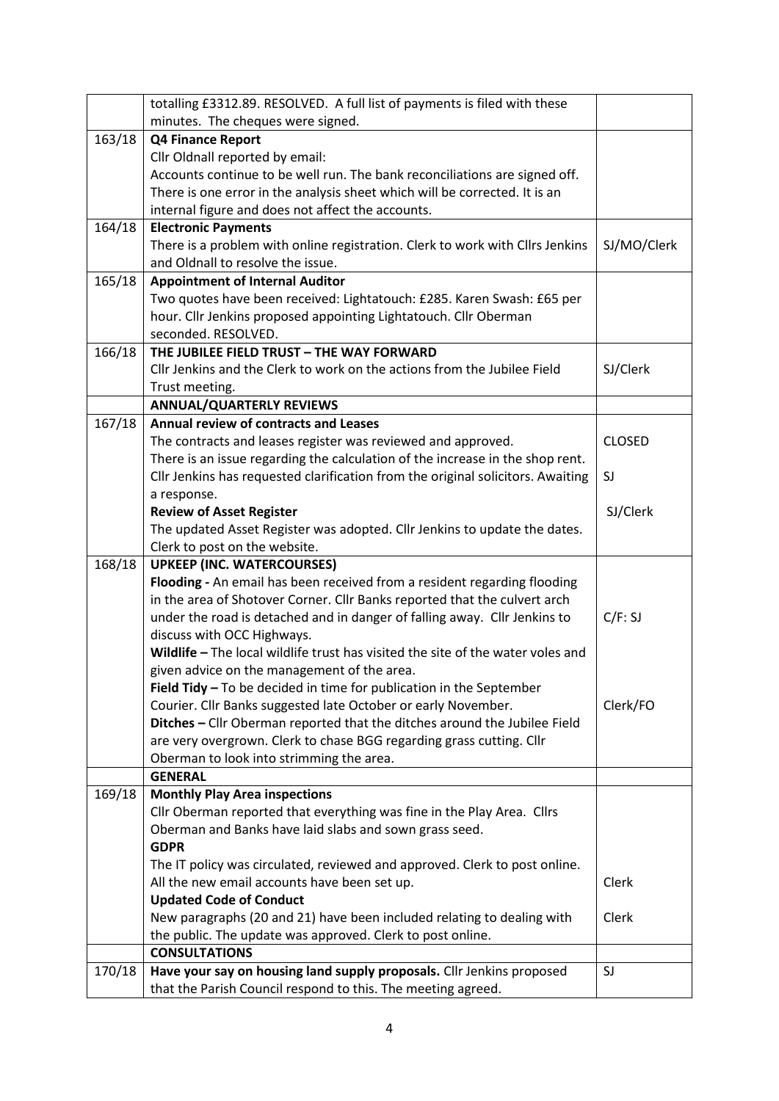|        | totalling £3312.89. RESOLVED. A full list of payments is filed with these       |               |
|--------|---------------------------------------------------------------------------------|---------------|
|        | minutes. The cheques were signed.                                               |               |
| 163/18 | Q4 Finance Report                                                               |               |
|        | Cllr Oldnall reported by email:                                                 |               |
|        | Accounts continue to be well run. The bank reconciliations are signed off.      |               |
|        | There is one error in the analysis sheet which will be corrected. It is an      |               |
|        | internal figure and does not affect the accounts.                               |               |
| 164/18 | <b>Electronic Payments</b>                                                      |               |
|        | There is a problem with online registration. Clerk to work with Cllrs Jenkins   | SJ/MO/Clerk   |
|        | and Oldnall to resolve the issue.                                               |               |
| 165/18 | <b>Appointment of Internal Auditor</b>                                          |               |
|        | Two quotes have been received: Lightatouch: £285. Karen Swash: £65 per          |               |
|        | hour. Cllr Jenkins proposed appointing Lightatouch. Cllr Oberman                |               |
|        | seconded. RESOLVED.                                                             |               |
| 166/18 | THE JUBILEE FIELD TRUST - THE WAY FORWARD                                       |               |
|        | Cllr Jenkins and the Clerk to work on the actions from the Jubilee Field        | SJ/Clerk      |
|        | Trust meeting.                                                                  |               |
|        | <b>ANNUAL/QUARTERLY REVIEWS</b>                                                 |               |
| 167/18 | <b>Annual review of contracts and Leases</b>                                    |               |
|        | The contracts and leases register was reviewed and approved.                    | <b>CLOSED</b> |
|        | There is an issue regarding the calculation of the increase in the shop rent.   |               |
|        | Cllr Jenkins has requested clarification from the original solicitors. Awaiting | SJ            |
|        | a response.                                                                     |               |
|        | <b>Review of Asset Register</b>                                                 | SJ/Clerk      |
|        | The updated Asset Register was adopted. Cllr Jenkins to update the dates.       |               |
|        | Clerk to post on the website.                                                   |               |
| 168/18 | <b>UPKEEP (INC. WATERCOURSES)</b>                                               |               |
|        | Flooding - An email has been received from a resident regarding flooding        |               |
|        | in the area of Shotover Corner. Cllr Banks reported that the culvert arch       |               |
|        | under the road is detached and in danger of falling away. Cllr Jenkins to       | C/F: SJ       |
|        | discuss with OCC Highways.                                                      |               |
|        | Wildlife - The local wildlife trust has visited the site of the water voles and |               |
|        | given advice on the management of the area.                                     |               |
|        | Field Tidy - To be decided in time for publication in the September             |               |
|        | Courier. Cllr Banks suggested late October or early November.                   | Clerk/FO      |
|        | Ditches - Cllr Oberman reported that the ditches around the Jubilee Field       |               |
|        | are very overgrown. Clerk to chase BGG regarding grass cutting. Cllr            |               |
|        | Oberman to look into strimming the area.                                        |               |
|        | <b>GENERAL</b>                                                                  |               |
| 169/18 | <b>Monthly Play Area inspections</b>                                            |               |
|        | Cllr Oberman reported that everything was fine in the Play Area. Cllrs          |               |
|        | Oberman and Banks have laid slabs and sown grass seed.                          |               |
|        | <b>GDPR</b>                                                                     |               |
|        | The IT policy was circulated, reviewed and approved. Clerk to post online.      |               |
|        | All the new email accounts have been set up.                                    | Clerk         |
|        | <b>Updated Code of Conduct</b>                                                  |               |
|        | New paragraphs (20 and 21) have been included relating to dealing with          | Clerk         |
|        | the public. The update was approved. Clerk to post online.                      |               |
|        | <b>CONSULTATIONS</b>                                                            |               |
| 170/18 | Have your say on housing land supply proposals. Cllr Jenkins proposed           | SJ            |
|        | that the Parish Council respond to this. The meeting agreed.                    |               |